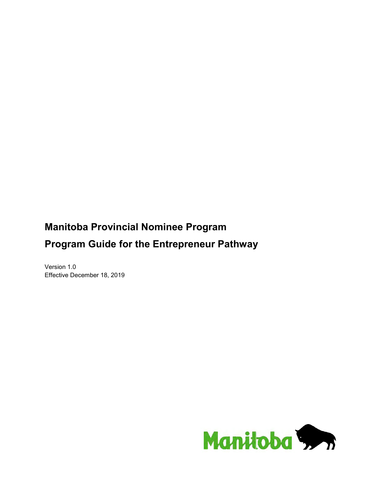# **Manitoba Provincial Nominee Program Program Guide for the Entrepreneur Pathway**

Version 1.0 Effective December 18, 2019

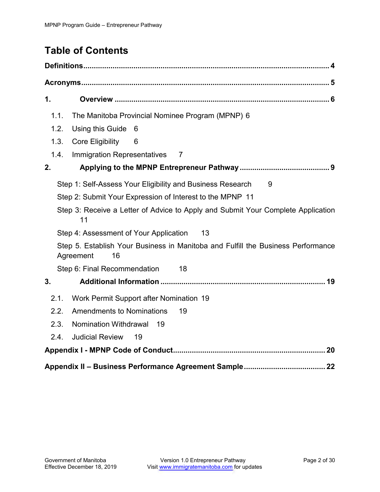# **Table of Contents**

| $\mathbf 1$ .                                                                                       |
|-----------------------------------------------------------------------------------------------------|
| 1.1.<br>The Manitoba Provincial Nominee Program (MPNP) 6                                            |
| 1.2.<br>Using this Guide<br>6                                                                       |
| 1.3.<br><b>Core Eligibility</b><br>6                                                                |
| 1.4.<br>Immigration Representatives<br>$\overline{7}$                                               |
| 2.                                                                                                  |
| Step 1: Self-Assess Your Eligibility and Business Research<br>9                                     |
| Step 2: Submit Your Expression of Interest to the MPNP 11                                           |
| Step 3: Receive a Letter of Advice to Apply and Submit Your Complete Application<br>11              |
| Step 4: Assessment of Your Application<br>13                                                        |
| Step 5. Establish Your Business in Manitoba and Fulfill the Business Performance<br>Agreement<br>16 |
| Step 6: Final Recommendation<br>18                                                                  |
| 3.                                                                                                  |
| 2.1.<br>Work Permit Support after Nomination 19                                                     |
| 2.2.<br><b>Amendments to Nominations</b><br>19                                                      |
| <b>Nomination Withdrawal</b><br>2.3.<br>19                                                          |
| <b>Judicial Review</b><br>2.4.<br>19                                                                |
|                                                                                                     |
|                                                                                                     |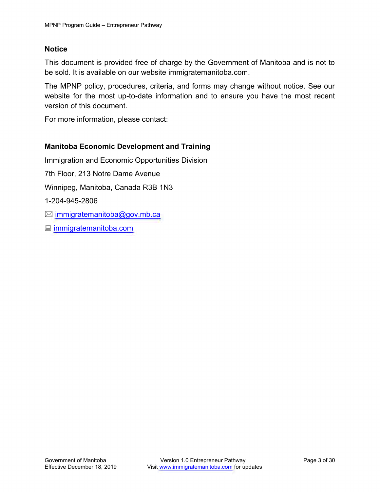## **Notice**

This document is provided free of charge by the Government of Manitoba and is not to be sold. It is available on our website immigratemanitoba.com.

The MPNP policy, procedures, criteria, and forms may change without notice. See our website for the most up-to-date information and to ensure you have the most recent version of this document.

For more information, please contact:

## **Manitoba Economic Development and Training**

Immigration and Economic Opportunities Division 7th Floor, 213 Notre Dame Avenue Winnipeg, Manitoba, Canada R3B 1N3 1-204-945-2806  $\boxtimes$  [immigratemanitoba@gov.mb.ca](mailto:immigratemanitoba@gov.mb.ca) ■ [immigratemanitoba.com](http://immigratemanitoba.com/)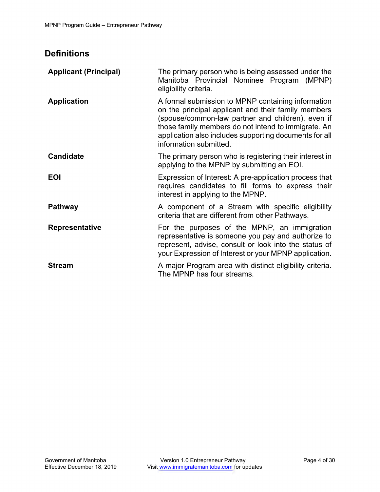## <span id="page-3-0"></span>**Definitions**

| <b>Applicant (Principal)</b> | The primary person who is being assessed under the<br>Manitoba Provincial Nominee Program (MPNP)<br>eligibility criteria.                                                                                                                                                                                 |
|------------------------------|-----------------------------------------------------------------------------------------------------------------------------------------------------------------------------------------------------------------------------------------------------------------------------------------------------------|
| <b>Application</b>           | A formal submission to MPNP containing information<br>on the principal applicant and their family members<br>(spouse/common-law partner and children), even if<br>those family members do not intend to immigrate. An<br>application also includes supporting documents for all<br>information submitted. |
| <b>Candidate</b>             | The primary person who is registering their interest in<br>applying to the MPNP by submitting an EOI.                                                                                                                                                                                                     |
| <b>EOI</b>                   | Expression of Interest: A pre-application process that<br>requires candidates to fill forms to express their<br>interest in applying to the MPNP.                                                                                                                                                         |
| <b>Pathway</b>               | A component of a Stream with specific eligibility<br>criteria that are different from other Pathways.                                                                                                                                                                                                     |
| <b>Representative</b>        | For the purposes of the MPNP, an immigration<br>representative is someone you pay and authorize to<br>represent, advise, consult or look into the status of<br>your Expression of Interest or your MPNP application.                                                                                      |
| <b>Stream</b>                | A major Program area with distinct eligibility criteria.<br>The MPNP has four streams.                                                                                                                                                                                                                    |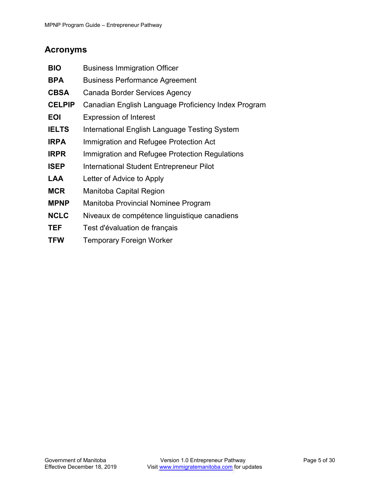## <span id="page-4-0"></span>**Acronyms**

| <b>BIO</b>    | <b>Business Immigration Officer</b>                 |
|---------------|-----------------------------------------------------|
| <b>BPA</b>    | <b>Business Performance Agreement</b>               |
| <b>CBSA</b>   | Canada Border Services Agency                       |
| <b>CELPIP</b> | Canadian English Language Proficiency Index Program |
| <b>EOI</b>    | <b>Expression of Interest</b>                       |
| <b>IELTS</b>  | International English Language Testing System       |
| <b>IRPA</b>   | Immigration and Refugee Protection Act              |
| <b>IRPR</b>   | Immigration and Refugee Protection Regulations      |
| <b>ISEP</b>   | International Student Entrepreneur Pilot            |
| LAA           | Letter of Advice to Apply                           |
| <b>MCR</b>    | Manitoba Capital Region                             |
| <b>MPNP</b>   | Manitoba Provincial Nominee Program                 |
| <b>NCLC</b>   | Niveaux de compétence linguistique canadiens        |
| TEF           | Test d'évaluation de français                       |
| <b>TFW</b>    | <b>Temporary Foreign Worker</b>                     |
|               |                                                     |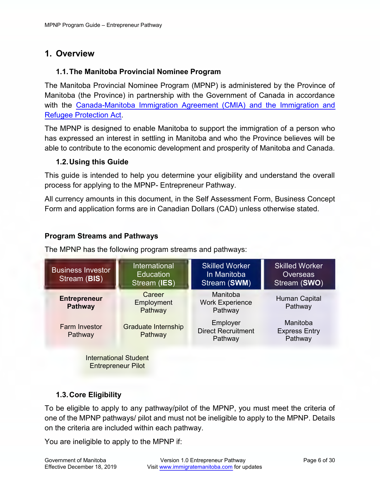## <span id="page-5-0"></span>**1. Overview**

## <span id="page-5-1"></span>**1.1.The Manitoba Provincial Nominee Program**

The Manitoba Provincial Nominee Program (MPNP) is administered by the Province of Manitoba (the Province) in partnership with the Government of Canada in accordance with the [Canada-Manitoba Immigration Agreement \(CMIA\)](http://www.cic.gc.ca/english/department/laws-policy/agreements/manitoba/can-man-2003.asp) and the Immigration and Refugee Protection Act.

The MPNP is designed to enable Manitoba to support the immigration of a person who has expressed an interest in settling in Manitoba and who the Province believes will be able to contribute to the economic development and prosperity of Manitoba and Canada.

## <span id="page-5-2"></span>**1.2.Using this Guide**

This guide is intended to help you determine your eligibility and understand the overall process for applying to the MPNP- Entrepreneur Pathway.

All currency amounts in this document, in the Self Assessment Form, Business Concept Form and application forms are in Canadian Dollars (CAD) unless otherwise stated.

## **Program Streams and Pathways**

The MPNP has the following program streams and pathways:

| <b>Business Investor</b><br>Stream (BIS) | <b>International</b><br><b>Education</b><br>Stream (IES) | <b>Skilled Worker</b><br>In Manitoba<br>Stream (SWM) | <b>Skilled Worker</b><br><b>Overseas</b><br>Stream (SWO) |
|------------------------------------------|----------------------------------------------------------|------------------------------------------------------|----------------------------------------------------------|
| <b>Entrepreneur</b><br><b>Pathway</b>    | Career<br>Employment<br>Pathway                          | Manitoba<br><b>Work Experience</b><br>Pathway        | Human Capital<br>Pathway                                 |
| <b>Farm Investor</b><br>Pathway          | <b>Graduate Internship</b><br>Pathway                    | Employer<br><b>Direct Recruitment</b><br>Pathway     | Manitoba<br><b>Express Entry</b><br>Pathway              |
| <b>International Student</b>             |                                                          |                                                      |                                                          |

Entrepreneur Pilot

## <span id="page-5-3"></span>**1.3.Core Eligibility**

To be eligible to apply to any pathway/pilot of the MPNP, you must meet the criteria of one of the MPNP pathways/ pilot and must not be ineligible to apply to the MPNP. Details on the criteria are included within each pathway.

You are ineligible to apply to the MPNP if: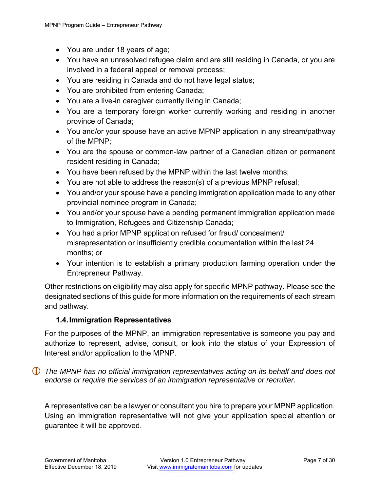- You are under 18 years of age;
- You have an unresolved refugee claim and are still residing in Canada, or you are involved in a federal appeal or removal process;
- You are residing in Canada and do not have legal status;
- You are prohibited from entering Canada;
- You are a live-in caregiver currently living in Canada;
- You are a temporary foreign worker currently working and residing in another province of Canada;
- You and/or your spouse have an active MPNP application in any stream/pathway of the MPNP;
- You are the spouse or common-law partner of a Canadian citizen or permanent resident residing in Canada;
- You have been refused by the MPNP within the last twelve months;
- You are not able to address the reason(s) of a previous MPNP refusal;
- You and/or your spouse have a pending immigration application made to any other provincial nominee program in Canada;
- You and/or your spouse have a pending permanent immigration application made to Immigration, Refugees and Citizenship Canada;
- You had a prior MPNP application refused for fraud/ concealment/ misrepresentation or insufficiently credible documentation within the last 24 months; or
- Your intention is to establish a primary production farming operation under the Entrepreneur Pathway.

Other restrictions on eligibility may also apply for specific MPNP pathway. Please see the designated sections of this guide for more information on the requirements of each stream and pathway.

## <span id="page-6-0"></span>**1.4.Immigration Representatives**

For the purposes of the MPNP, an immigration representative is someone you pay and authorize to represent, advise, consult, or look into the status of your Expression of Interest and/or application to the MPNP.

 *The MPNP has no official immigration representatives acting on its behalf and does not endorse or require the services of an immigration representative or recruiter.* 

A representative can be a lawyer or consultant you hire to prepare your MPNP application. Using an immigration representative will not give your application special attention or guarantee it will be approved.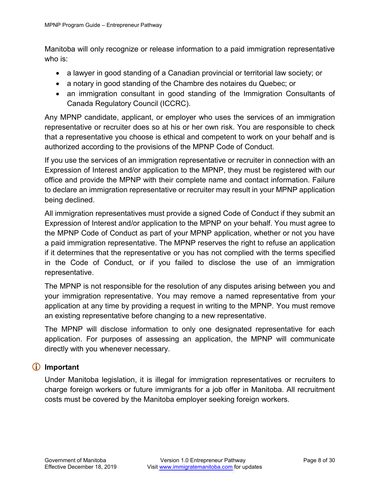Manitoba will only recognize or release information to a paid immigration representative who is:

- a lawyer in good standing of a Canadian provincial or territorial law society; or
- a notary in good standing of the Chambre des notaires du Quebec; or
- an immigration consultant in good standing of the Immigration Consultants of Canada Regulatory Council (ICCRC).

Any MPNP candidate, applicant, or employer who uses the services of an immigration representative or recruiter does so at his or her own risk. You are responsible to check that a representative you choose is ethical and competent to work on your behalf and is authorized according to the provisions of the MPNP Code of Conduct.

If you use the services of an immigration representative or recruiter in connection with an Expression of Interest and/or application to the MPNP, they must be registered with our office and provide the MPNP with their complete name and contact information. Failure to declare an immigration representative or recruiter may result in your MPNP application being declined.

All immigration representatives must provide a signed Code of Conduct if they submit an Expression of Interest and/or application to the MPNP on your behalf. You must agree to the MPNP Code of Conduct as part of your MPNP application, whether or not you have a paid immigration representative. The MPNP reserves the right to refuse an application if it determines that the representative or you has not complied with the terms specified in the Code of Conduct, or if you failed to disclose the use of an immigration representative.

The MPNP is not responsible for the resolution of any disputes arising between you and your immigration representative. You may remove a named representative from your application at any time by providing a request in writing to the MPNP. You must remove an existing representative before changing to a new representative.

The MPNP will disclose information to only one designated representative for each application. For purposes of assessing an application, the MPNP will communicate directly with you whenever necessary.

## **Important**

Under Manitoba legislation, it is illegal for immigration representatives or recruiters to charge foreign workers or future immigrants for a job offer in Manitoba. All recruitment costs must be covered by the Manitoba employer seeking foreign workers.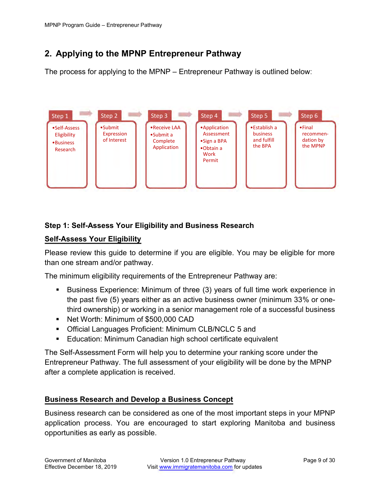## **2. Applying to the MPNP Entrepreneur Pathway**

The process for applying to the MPNP – Entrepreneur Pathway is outlined below:



## **Step 1: Self-Assess Your Eligibility and Business Research**

### **Self-Assess Your Eligibility**

Please review this guide to determine if you are eligible. You may be eligible for more than one stream and/or pathway.

The minimum eligibility requirements of the Entrepreneur Pathway are:

- Business Experience: Minimum of three (3) years of full time work experience in the past five (5) years either as an active business owner (minimum 33% or onethird ownership) or working in a senior management role of a successful business
- Net Worth: Minimum of \$500,000 CAD
- **Official Languages Proficient: Minimum CLB/NCLC 5 and**
- Education: Minimum Canadian high school certificate equivalent

The Self-Assessment Form will help you to determine your ranking score under the Entrepreneur Pathway. The full assessment of your eligibility will be done by the MPNP after a complete application is received.

## **Business Research and Develop a Business Concept**

Business research can be considered as one of the most important steps in your MPNP application process. You are encouraged to start exploring Manitoba and business opportunities as early as possible.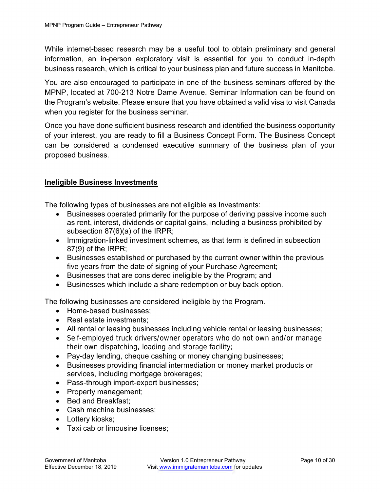While internet-based research may be a useful tool to obtain preliminary and general information, an in-person exploratory visit is essential for you to conduct in-depth business research, which is critical to your business plan and future success in Manitoba.

You are also encouraged to participate in one of the business seminars offered by the MPNP, located at 700-213 Notre Dame Avenue. Seminar Information can be found on the Program's website. Please ensure that you have obtained a valid visa to visit Canada when you register for the business seminar.

Once you have done sufficient business research and identified the business opportunity of your interest, you are ready to fill a Business Concept Form. The Business Concept can be considered a condensed executive summary of the business plan of your proposed business.

## **Ineligible Business Investments**

The following types of businesses are not eligible as Investments:

- Businesses operated primarily for the purpose of deriving passive income such as rent, interest, dividends or capital gains, including a business prohibited by subsection 87(6)(a) of the IRPR;
- Immigration-linked investment schemes, as that term is defined in subsection 87(9) of the IRPR;
- Businesses established or purchased by the current owner within the previous five years from the date of signing of your Purchase Agreement;
- Businesses that are considered ineligible by the Program; and
- Businesses which include a share redemption or buy back option.

The following businesses are considered ineligible by the Program.

- Home-based businesses;
- Real estate investments:
- All rental or leasing businesses including vehicle rental or leasing businesses;
- Self-employed truck drivers/owner operators who do not own and/or manage their own dispatching, loading and storage facility;
- Pay-day lending, cheque cashing or money changing businesses;
- Businesses providing financial intermediation or money market products or services, including mortgage brokerages;
- Pass-through import-export businesses;
- Property management;
- Bed and Breakfast:
- Cash machine businesses;
- Lottery kiosks;
- Taxi cab or limousine licenses: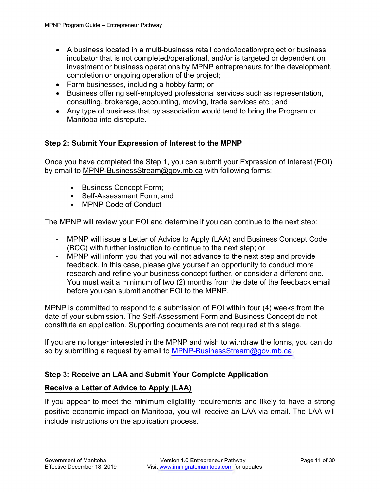- A business located in a multi-business retail condo/location/project or business incubator that is not completed/operational, and/or is targeted or dependent on investment or business operations by MPNP entrepreneurs for the development, completion or ongoing operation of the project;
- Farm businesses, including a hobby farm; or
- Business offering self-employed professional services such as representation, consulting, brokerage, accounting, moving, trade services etc.; and
- Any type of business that by association would tend to bring the Program or Manitoba into disrepute.

## <span id="page-10-0"></span>**Step 2: Submit Your Expression of Interest to the MPNP**

Once you have completed the Step 1, you can submit your Expression of Interest (EOI) by email to [MPNP-BusinessStream@gov.mb.ca](mailto:MPNP-BusinessStream@gov.mb.ca) with following forms:

- **Business Concept Form;**
- Self-Assessment Form: and
- MPNP [Code of Conduct](https://www.immigratemanitoba.com/wp-content/uploads/2016/06/MPNP_Code_of_Conduct_Mar_2017.pdf)

The MPNP will review your EOI and determine if you can continue to the next step:

- MPNP will issue a Letter of Advice to Apply (LAA) and Business Concept Code (BCC) with further instruction to continue to the next step; or
- MPNP will inform you that you will not advance to the next step and provide feedback. In this case, please give yourself an opportunity to conduct more research and refine your business concept further, or consider a different one. You must wait a minimum of two (2) months from the date of the feedback email before you can submit another EOI to the MPNP.

MPNP is committed to respond to a submission of EOI within four (4) weeks from the date of your submission. The Self-Assessment Form and Business Concept do not constitute an application. Supporting documents are not required at this stage.

If you are no longer interested in the MPNP and wish to withdraw the forms, you can do so by submitting a request by email to MPNP-Business Stream  $@qov$  mb.ca.

## <span id="page-10-1"></span>**Step 3: Receive an LAA and Submit Your Complete Application**

## **Receive a Letter of Advice to Apply (LAA)**

If you appear to meet the minimum eligibility requirements and likely to have a strong positive economic impact on Manitoba, you will receive an LAA via email. The LAA will include instructions on the application process.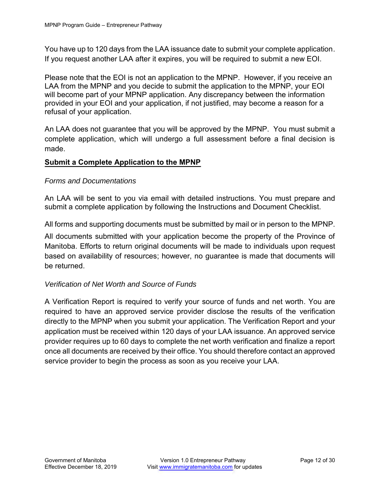You have up to 120 days from the LAA issuance date to submit your complete application. If you request another LAA after it expires, you will be required to submit a new EOI.

Please note that the EOI is not an application to the MPNP. However, if you receive an LAA from the MPNP and you decide to submit the application to the MPNP, your EOI will become part of your MPNP application. Any discrepancy between the information provided in your EOI and your application, if not justified, may become a reason for a refusal of your application.

An LAA does not guarantee that you will be approved by the MPNP. You must submit a complete application, which will undergo a full assessment before a final decision is made.

## **Submit a Complete Application to the MPNP**

### *Forms and Documentations*

An LAA will be sent to you via email with detailed instructions. You must prepare and submit a complete application by following the Instructions and Document Checklist.

All forms and supporting documents must be submitted by mail or in person to the MPNP.

All documents submitted with your application become the property of the Province of Manitoba. Efforts to return original documents will be made to individuals upon request based on availability of resources; however, no guarantee is made that documents will be returned.

## *Verification of Net Worth and Source of Funds*

A Verification Report is required to verify your source of funds and net worth. You are required to have an approved service provider disclose the results of the verification directly to the MPNP when you submit your application. The Verification Report and your application must be received within 120 days of your LAA issuance. An approved service provider requires up to 60 days to complete the net worth verification and finalize a report once all documents are received by their office. You should therefore contact an approved service provider to begin the process as soon as you receive your LAA.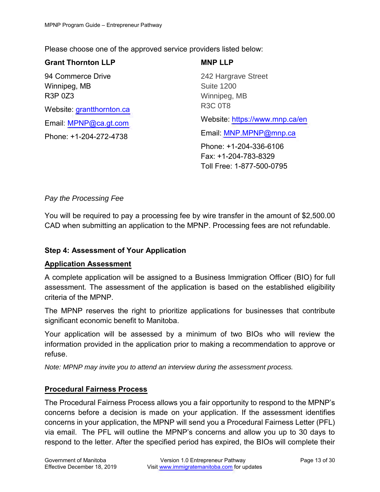Please choose one of the approved service providers listed below:

## **Grant Thornton LLP**

94 Commerce Drive Winnipeg, MB R3P 0Z3 Website: [grantthornton.ca](http://www.grantthornton.ca/) Email: [MPNP@ca.gt.com](mailto:MPNP@ca.gt.com) Phone: +1-204-272-4738

**MNP LLP** 242 Hargrave Street Suite 1200 Winnipeg, MB R3C 0T8 Website: <https://www.mnp.ca/en> Email: [MNP.MPNP@mnp.ca](mailto:MNP.MPNP@mnp.ca) Phone: +1-204-336-6106

Fax: +1-204-783-8329 Toll Free: 1-877-500-0795

## *Pay the Processing Fee*

You will be required to pay a processing fee by wire transfer in the amount of \$2,500.00 CAD when submitting an application to the MPNP. Processing fees are not refundable.

## <span id="page-12-0"></span>**Step 4: Assessment of Your Application**

#### **Application Assessment**

A complete application will be assigned to a Business Immigration Officer (BIO) for full assessment. The assessment of the application is based on the established eligibility criteria of the MPNP.

The MPNP reserves the right to prioritize applications for businesses that contribute significant economic benefit to Manitoba.

Your application will be assessed by a minimum of two BIOs who will review the information provided in the application prior to making a recommendation to approve or refuse.

*Note: MPNP may invite you to attend an interview during the assessment process.*

## **Procedural Fairness Process**

The Procedural Fairness Process allows you a fair opportunity to respond to the MPNP's concerns before a decision is made on your application. If the assessment identifies concerns in your application, the MPNP will send you a Procedural Fairness Letter (PFL) via email. The PFL will outline the MPNP's concerns and allow you up to 30 days to respond to the letter. After the specified period has expired, the BIOs will complete their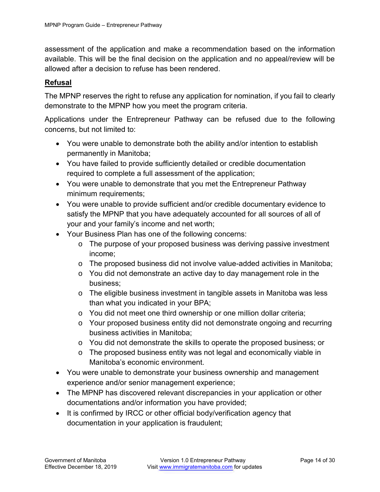assessment of the application and make a recommendation based on the information available. This will be the final decision on the application and no appeal/review will be allowed after a decision to refuse has been rendered.

## **Refusal**

The MPNP reserves the right to refuse any application for nomination, if you fail to clearly demonstrate to the MPNP how you meet the program criteria.

Applications under the Entrepreneur Pathway can be refused due to the following concerns, but not limited to:

- You were unable to demonstrate both the ability and/or intention to establish permanently in Manitoba;
- You have failed to provide sufficiently detailed or credible documentation required to complete a full assessment of the application;
- You were unable to demonstrate that you met the Entrepreneur Pathway minimum requirements;
- You were unable to provide sufficient and/or credible documentary evidence to satisfy the MPNP that you have adequately accounted for all sources of all of your and your family's income and net worth;
- Your Business Plan has one of the following concerns:
	- o The purpose of your proposed business was deriving passive investment income;
	- $\circ$  The proposed business did not involve value-added activities in Manitoba;
	- $\circ$  You did not demonstrate an active day to day management role in the business;
	- o The eligible business investment in tangible assets in Manitoba was less than what you indicated in your BPA;
	- o You did not meet one third ownership or one million dollar criteria;
	- o Your proposed business entity did not demonstrate ongoing and recurring business activities in Manitoba;
	- o You did not demonstrate the skills to operate the proposed business; or
	- $\circ$  The proposed business entity was not legal and economically viable in Manitoba's economic environment.
- You were unable to demonstrate your business ownership and management experience and/or senior management experience;
- The MPNP has discovered relevant discrepancies in your application or other documentations and/or information you have provided;
- It is confirmed by IRCC or other official body/verification agency that documentation in your application is fraudulent;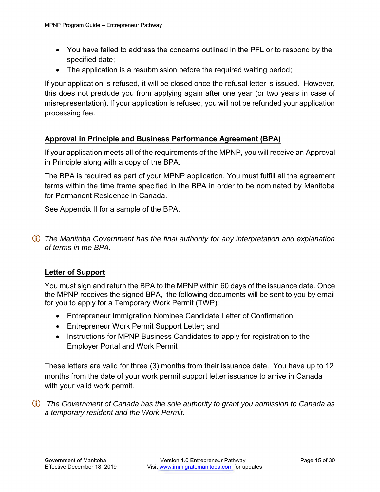- You have failed to address the concerns outlined in the PFL or to respond by the specified date;
- The application is a resubmission before the required waiting period;

If your application is refused, it will be closed once the refusal letter is issued. However, this does not preclude you from applying again after one year (or two years in case of misrepresentation). If your application is refused, you will not be refunded your application processing fee.

## **Approval in Principle and Business Performance Agreement (BPA)**

If your application meets all of the requirements of the MPNP, you will receive an Approval in Principle along with a copy of the BPA.

The BPA is required as part of your MPNP application. You must fulfill all the agreement terms within the time frame specified in the BPA in order to be nominated by Manitoba for Permanent Residence in Canada.

See Appendix II for a sample of the [BPA.](http://www.immigratemanitoba.com/wp-content/uploads/2019/01/BIS-BPA-SAMPLE.pdf)

 *The Manitoba Government has the final authority for any interpretation and explanation of terms in the BPA.*

#### **Letter of Support**

You must sign and return the BPA to the MPNP within 60 days of the issuance date. Once the MPNP receives the signed BPA, the following documents will be sent to you by email for you to apply for a Temporary Work Permit (TWP):

- Entrepreneur Immigration Nominee Candidate Letter of Confirmation;
- Entrepreneur Work Permit Support Letter; and
- Instructions for MPNP Business Candidates to apply for registration to the Employer Portal and Work Permit

These letters are valid for three (3) months from their issuance date. You have up to 12 months from the date of your work permit support letter issuance to arrive in Canada with your valid work permit.

 *The Government of Canada has the sole authority to grant you admission to Canada as a temporary resident and the Work Permit.*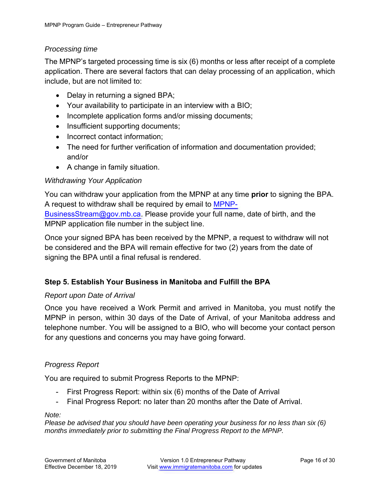## *Processing time*

The MPNP's targeted processing time is six (6) months or less after receipt of a complete application. There are several factors that can delay processing of an application, which include, but are not limited to:

- Delay in returning a signed BPA;
- Your availability to participate in an interview with a BIO;
- Incomplete application forms and/or missing documents;
- Insufficient supporting documents;
- Incorrect contact information;
- The need for further verification of information and documentation provided; and/or
- A change in family situation.

## *Withdrawing Your Application*

You can withdraw your application from the MPNP at any time **prior** to signing the BPA. A request to withdraw shall be required by email to [MPNP-](mailto:MPNP-BusinessStream@gov.mb.ca)[BusinessStream@gov.mb.ca.](mailto:MPNP-BusinessStream@gov.mb.ca) Please provide your full name, date of birth, and the MPNP application file number in the subject line.

Once your signed BPA has been received by the MPNP, a request to withdraw will not be considered and the BPA will remain effective for two (2) years from the date of signing the BPA until a final refusal is rendered.

## <span id="page-15-0"></span>**Step 5. Establish Your Business in Manitoba and Fulfill the BPA**

## *Report upon Date of Arrival*

Once you have received a Work Permit and arrived in Manitoba, you must notify the MPNP in person, within 30 days of the Date of Arrival, of your Manitoba address and telephone number. You will be assigned to a BIO, who will become your contact person for any questions and concerns you may have going forward.

## *Progress Report*

You are required to submit Progress Reports to the MPNP:

- First Progress Report: within six (6) months of the Date of Arrival
- Final Progress Report: no later than 20 months after the Date of Arrival.

*Note:* 

*Please be advised that you should have been operating your business for no less than six (6) months immediately prior to submitting the Final Progress Report to the MPNP.*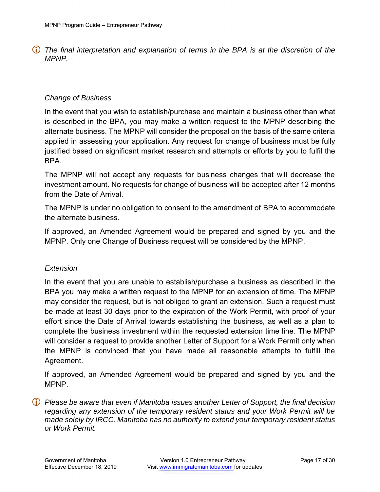*The final interpretation and explanation of terms in the BPA is at the discretion of the MPNP.* 

### *Change of Business*

In the event that you wish to establish/purchase and maintain a business other than what is described in the BPA, you may make a written request to the MPNP describing the alternate business. The MPNP will consider the proposal on the basis of the same criteria applied in assessing your application. Any request for change of business must be fully justified based on significant market research and attempts or efforts by you to fulfil the BPA.

The MPNP will not accept any requests for business changes that will decrease the investment amount. No requests for change of business will be accepted after 12 months from the Date of Arrival.

The MPNP is under no obligation to consent to the amendment of BPA to accommodate the alternate business.

If approved, an Amended Agreement would be prepared and signed by you and the MPNP. Only one Change of Business request will be considered by the MPNP.

#### *Extension*

In the event that you are unable to establish/purchase a business as described in the BPA you may make a written request to the MPNP for an extension of time. The MPNP may consider the request, but is not obliged to grant an extension. Such a request must be made at least 30 days prior to the expiration of the Work Permit, with proof of your effort since the Date of Arrival towards establishing the business, as well as a plan to complete the business investment within the requested extension time line. The MPNP will consider a request to provide another Letter of Support for a Work Permit only when the MPNP is convinced that you have made all reasonable attempts to fulfill the Agreement.

If approved, an Amended Agreement would be prepared and signed by you and the MPNP.

 *Please be aware that even if Manitoba issues another Letter of Support, the final decision regarding any extension of the temporary resident status and your Work Permit will be made solely by IRCC. Manitoba has no authority to extend your temporary resident status or Work Permit.*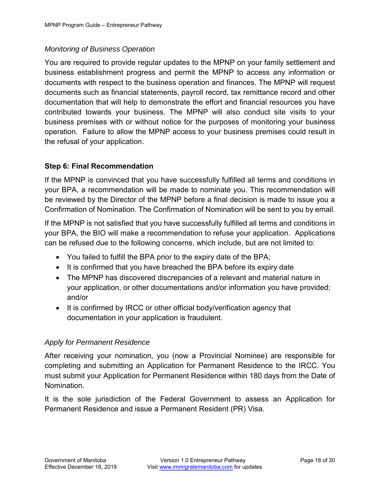## *Monitoring of Business Operation*

You are required to provide regular updates to the MPNP on your family settlement and business establishment progress and permit the MPNP to access any information or documents with respect to the business operation and finances. The MPNP will request documents such as financial statements, payroll record, tax remittance record and other documentation that will help to demonstrate the effort and financial resources you have contributed towards your business. The MPNP will also conduct site visits to your business premises with or without notice for the purposes of monitoring your business operation. Failure to allow the MPNP access to your business premises could result in the refusal of your application.

## <span id="page-17-0"></span>**Step 6: Final Recommendation**

If the MPNP is convinced that you have successfully fulfilled all terms and conditions in your BPA, a recommendation will be made to nominate you. This recommendation will be reviewed by the Director of the MPNP before a final decision is made to issue you a Confirmation of Nomination. The Confirmation of Nomination will be sent to you by email.

If the MPNP is not satisfied that you have successfully fulfilled all terms and conditions in your BPA, the BIO will make a recommendation to refuse your application. Applications can be refused due to the following concerns, which include, but are not limited to:

- You failed to fulfill the BPA prior to the expiry date of the BPA;
- It is confirmed that you have breached the BPA before its expiry date
- The MPNP has discovered discrepancies of a relevant and material nature in your application, or other documentations and/or information you have provided; and/or
- It is confirmed by IRCC or other official body/verification agency that documentation in your application is fraudulent.

## *Apply for Permanent Residence*

After receiving your nomination, you (now a Provincial Nominee) are responsible for completing and submitting an Application for Permanent Residence to the IRCC. You must submit your Application for Permanent Residence within 180 days from the Date of Nomination.

It is the sole jurisdiction of the Federal Government to assess an Application for Permanent Residence and issue a Permanent Resident (PR) Visa.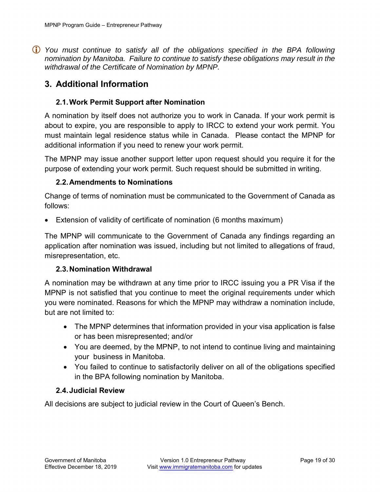*You must continue to satisfy all of the obligations specified in the BPA following nomination by Manitoba. Failure to continue to satisfy these obligations may result in the withdrawal of the Certificate of Nomination by MPNP.* 

## <span id="page-18-0"></span>**3. Additional Information**

### <span id="page-18-1"></span>**2.1.Work Permit Support after Nomination**

A nomination by itself does not authorize you to work in Canada. If your work permit is about to expire, you are responsible to apply to IRCC to extend your work permit. You must maintain legal residence status while in Canada. Please contact the MPNP for additional information if you need to renew your work permit.

The MPNP may issue another support letter upon request should you require it for the purpose of extending your work permit. Such request should be submitted in writing.

#### <span id="page-18-2"></span>**2.2.Amendments to Nominations**

Change of terms of nomination must be communicated to the Government of Canada as follows:

Extension of validity of certificate of nomination (6 months maximum)

The MPNP will communicate to the Government of Canada any findings regarding an application after nomination was issued, including but not limited to allegations of fraud, misrepresentation, etc.

#### <span id="page-18-3"></span>**2.3.Nomination Withdrawal**

A nomination may be withdrawn at any time prior to IRCC issuing you a PR Visa if the MPNP is not satisfied that you continue to meet the original requirements under which you were nominated. Reasons for which the MPNP may withdraw a nomination include, but are not limited to:

- The MPNP determines that information provided in your visa application is false or has been misrepresented; and/or
- You are deemed, by the MPNP, to not intend to continue living and maintaining your business in Manitoba.
- You failed to continue to satisfactorily deliver on all of the obligations specified in the BPA following nomination by Manitoba.

#### <span id="page-18-4"></span>**2.4.Judicial Review**

All decisions are subject to judicial review in the Court of Queen's Bench.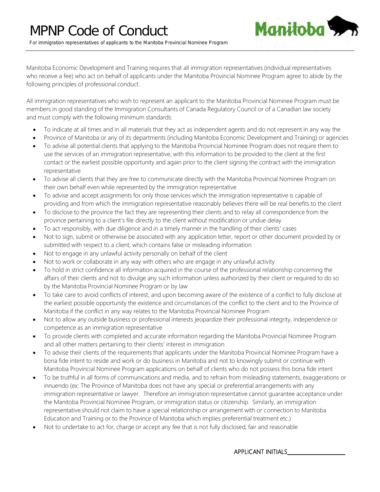

<span id="page-19-0"></span>Manitoba Economic Development and Training requires that all immigration representatives (individual representatives who receive a fee) who act on behalf of applicants under the Manitoba Provincial Nominee Program agree to abide by the following principles of professional conduct.

All immigration representatives who wish to represent an applicant to the Manitoba Provincial Nominee Program must be members in good standing of the Immigration Consultants of Canada Regulatory Council or of a Canadian law society and must comply with the following minimum standards:

- To indicate at all times and in all materials that they act as independent agents and do not represent in any way the
- Province of Manitoba or any of its departments (including Manitoba Economic Development and Training) or agencies
- To advise all potential clients that applying to the Manitoba Provincial Nominee Program does not require them to use the services of an immigration representative, with this information to be provided to the client at the first contact or the earliest possible opportunity and again prior to the client signing the contract with the immigration representative
- To advise all clients that they are free to communicate directly with the Manitoba Provincial Nominee Program on their own behalf even while represented by the immigration representative
- To advise and accept assignments for only those services which the immigration representative is capable of providing and from which the immigration representative reasonably believes there will be real benefits to the client
- To disclose to the province the fact they are representing their clients and to relay all correspondence from the province pertaining to a client's file directly to the client without modification or undue delay
- To act responsibly, with due diligence and in a timely manner in the handling of their clients' cases
- Not to sign, submit or otherwise be associated with any application letter, report or other document provided by or submitted with respect to a client, which contains false or misleading information
- Not to engage in any unlawful activity personally on behalf of the client
- Not to work or collaborate in any way with others who are engage in any unlawful activity
- To hold in strict confidence all information acquired in the course of the professional relationship concerning the affairs of their clients and not to divulge any such information unless authorized by their client or required to do so by the Manitoba Provincial Nominee Program or by law
- To take care to avoid conflicts of interest, and upon becoming aware of the existence of a conflict to fully disclose at the earliest possible opportunity the existence and circumstances of the conflict to the client and to the Province of Manitoba if the conflict in any way relates to the Manitoba Provincial Nominee Program
- Not to allow any outside business or professional interests jeopardize their professional integrity, independence or competence as an immigration representative
- To provide clients with completed and accurate information regarding the Manitoba Provincial Nominee Program and all other matters pertaining to their clients' interest in immigration
- To advise their clients of the requirements that applicants under the Manitoba Provincial Nominee Program have a bona fide intent to reside and work or do business in Manitoba and not to knowingly submit or continue with Manitoba Provincial Nominee Program applications on behalf of clients who do not possess this bona fide intent
- To be truthful in all forms of communications and media, and to refrain from misleading statements, exaggerations or innuendo (ex: The Province of Manitoba does not have any special or preferential arrangements with any immigration representative or lawyer. Therefore an immigration representative cannot guarantee acceptance under the Manitoba Provincial Nominee Program, or immigration status or citizenship. Similarly, an immigration representative should not claim to have a special relationship or arrangement with or connection to Manitoba Education and Training or to the Province of Manitoba which implies preferential treatment etc.)
- Not to undertake to act for, charge or accept any fee that is not fully disclosed, fair and reasonable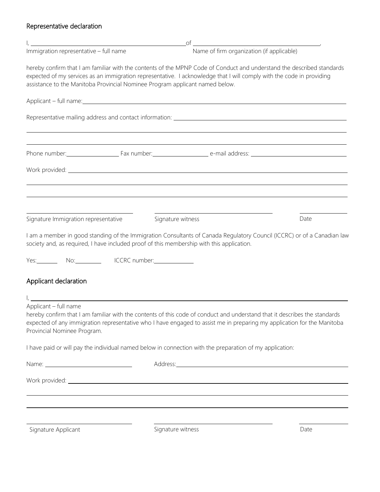## Representative declaration

| $\mathbf{I}_i$ and the contract of the contract of the contract of the contract of the contract of the contract of the contract of the contract of the contract of the contract of the contract of the contract of the contract of |                                                                    |                                                                                                                                                                                                                                                       |      |
|------------------------------------------------------------------------------------------------------------------------------------------------------------------------------------------------------------------------------------|--------------------------------------------------------------------|-------------------------------------------------------------------------------------------------------------------------------------------------------------------------------------------------------------------------------------------------------|------|
| Immigration representative - full name                                                                                                                                                                                             |                                                                    | Name of firm organization (if applicable)                                                                                                                                                                                                             |      |
| assistance to the Manitoba Provincial Nominee Program applicant named below.                                                                                                                                                       |                                                                    | hereby confirm that I am familiar with the contents of the MPNP Code of Conduct and understand the described standards<br>expected of my services as an immigration representative. I acknowledge that I will comply with the code in providing       |      |
|                                                                                                                                                                                                                                    |                                                                    |                                                                                                                                                                                                                                                       |      |
|                                                                                                                                                                                                                                    |                                                                    |                                                                                                                                                                                                                                                       |      |
|                                                                                                                                                                                                                                    |                                                                    | Phone number: Fax number: Fax number: e-mail address: Number: e-mail address:                                                                                                                                                                         |      |
|                                                                                                                                                                                                                                    |                                                                    |                                                                                                                                                                                                                                                       |      |
|                                                                                                                                                                                                                                    |                                                                    | ,我们也不会有什么。""我们的人,我们也不会有什么?""我们的人,我们也不会有什么?""我们的人,我们也不会有什么?""我们的人,我们也不会有什么?""我们的人                                                                                                                                                                      |      |
| Signature Immigration representative                                                                                                                                                                                               | Signature witness                                                  |                                                                                                                                                                                                                                                       | Date |
| society and, as required, I have included proof of this membership with this application.<br>Yes: No: No: ICCRC number:                                                                                                            |                                                                    | I am a member in good standing of the Immigration Consultants of Canada Regulatory Council (ICCRC) or of a Canadian law                                                                                                                               |      |
| Applicant declaration                                                                                                                                                                                                              |                                                                    |                                                                                                                                                                                                                                                       |      |
| Applicant - full name<br>Provincial Nominee Program.                                                                                                                                                                               | <u> 1980 - Andrea Station Barbara, amerikan personal (h. 1980)</u> | hereby confirm that I am familiar with the contents of this code of conduct and understand that it describes the standards<br>expected of any immigration representative who I have engaged to assist me in preparing my application for the Manitoba |      |
|                                                                                                                                                                                                                                    |                                                                    | I have paid or will pay the individual named below in connection with the preparation of my application:                                                                                                                                              |      |
|                                                                                                                                                                                                                                    |                                                                    |                                                                                                                                                                                                                                                       |      |
|                                                                                                                                                                                                                                    |                                                                    |                                                                                                                                                                                                                                                       |      |
|                                                                                                                                                                                                                                    |                                                                    |                                                                                                                                                                                                                                                       |      |
| Signature Applicant                                                                                                                                                                                                                | Signature witness                                                  |                                                                                                                                                                                                                                                       | Date |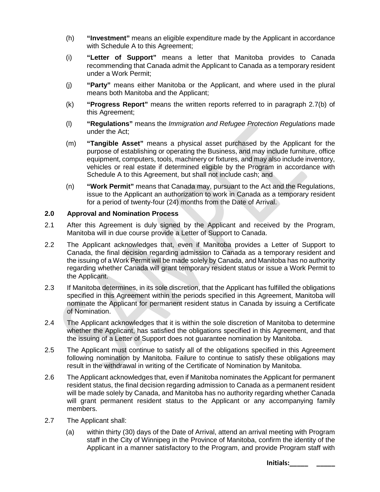1RWLFH

WK ) ORRU

7KLV GRFXPHQW LV SURYLGHG IUHH RI FKDUJH E\ WKH \*RY EH VROG .W LV DYDLOLDPPOLHUROW RRDDOZHWERVELDW FIRP

ZHEVLWH IRU WWGHDWPRVMQDASUPDWLRQ DQG WR HQVXUH \RX

 $\overline{1}$ 

7KH 0313 SROLF\ SURFHGXUHV FULWHULD DQG IRUPV PD'

YHUVLRQ RI WKLV GRFXPHQW

) RU PRUH LQIRUPDWLRQ SOHDVH FRQWDFW

1RWUH 'DPH \$YHQXH

ODQLW(FEREQRPLF RHSYPHHOQW DQG 7UDLQLQJ

. PPLJUDDWQLGRQFRQRPLF 2S'SSRUWLXROQLWLHV

:LQQLSHJ 0DQLWRED &DQDGD 5 %

LPPLJUDWHPDQLWRED#JRY PE FD

LPPLJUDWHPDQLWRED FRP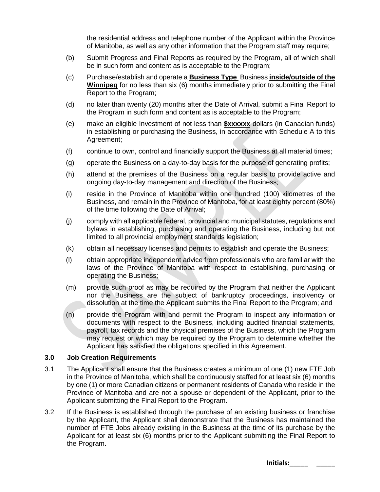the residential address and telephone number of the Applicant within the Province of Manitoba, as well as any other information that the Program staff may require;

- E Submit Progress and Final Reports as required by the Program, all of which shall be in such form and content as is acceptable to the Program;
- F  Purchase/establish and operate a **Business Type** Business **inside/outside of the Winnipeg Metropolitan Region** for no less than six (6) months immediately prior to submitting the Final Report to the Program;
- G no later than twenty (20) months after the Date of Arrival, submit a Final Report to the Program in such form and content as is acceptable to the Program;
- H make an eligible Investment of not less than **\$xxxxxx** dollars (in Canadian funds) in establishing or purchasing the Business, in accordance with Schedule A to this Agreement;
- I continue to own, control and financially support the Business at all material times;
- J operate the Business on a day-to-day basis for the purpose of generating profits;
- K attend at the premises of the Business on a regular basis to provide active and ongoing day-to-day management and direction of the Business;
- L reside in the Province of Manitoba within one hundred (100) kilometres of the Business, and remain in the Province of Manitoba, for at least eighty percent (80%) of the time following the Date of Arrival;
- M comply with all applicable federal, provincial and municipal statutes, regulations and bylaws in establishing, purchasing and operating the Business, including but not limited to all provincial employment standards legislation;
- N obtain all necessary licenses and permits to establish and operate the Business;
- O obtain appropriate independent advice from professionals who are familiar with the laws of the Province of Manitoba with respect to establishing, purchasing or operating the Business;
- P provide such proof as may be required by the Program that neither the Applicant nor the Business are the subject of bankruptcy proceedings, insolvency or dissolution at the time the Applicant submits the Final Report to the Program; and
- Q provide the Program with and permit the Program to inspect any information or documents with respect to the Business, including audited financial statements, payroll, tax records and the physical premises of the Business, which the Program may request or which may be required by the Program to determine whether the Applicant has satisfied the obligations specified in this Agreement.

#### **3.0 Job Creation Requirements**

- 3.1 The Applicant shall ensure that the Business creates a minimum of one (1) new FTE Job in the Province of Manitoba, which shall be continuously staffed for at least six (6) months by one (1) or more Canadian citizens or permanent residents of Canada who reside in the Province of Manitoba and are not a spouse or dependent of the Applicant, prior to the Applicant submitting the Final Report to the Program.
- 3.2 If the Business is established through the purchase of an existing business or franchise by the Applicant, the Applicant shall demonstrate that the Business has maintained the number of FTE Jobs already existing in the Business at the time of its purchase by the Applicant for at least six (6) months prior to the Applicant submitting the Final Report to the Program.

**Initials:\_\_\_\_\_ \_\_\_\_\_**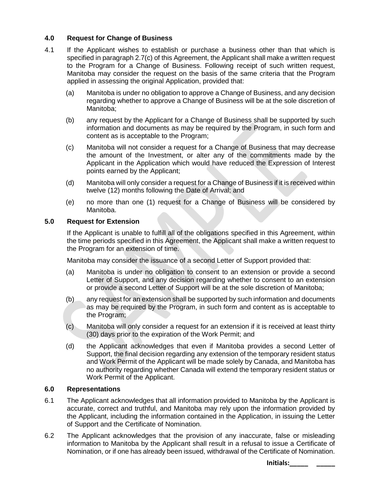#### **4.0 Request for Change of Business**

- 4.1 If the Applicant wishes to establish or purchase a business other than that which is specified in paragraph 2.7(c) of this Agreement, the Applicant shall make a written request to the Program for a Change of Business. Following receipt of such written request, Manitoba may consider the request on the basis of the same criteria that the Program applied in assessing the original Application, provided that:
	- (a) Manitoba is under no obligation to approve a Change of Business, and any decision regarding whether to approve a Change of Business will be at the sole discretion of Manitoba;
	- (b) any request by the Applicant for a Change of Business shall be supported by such information and documents as may be required by the Program, in such form and content as is acceptable to the Program;
	- (c) Manitoba will not consider a request for a Change of Business that may decrease the amount of the Investment, or alter any of the commitments made by the Applicant in the Application which would have reduced the Expression of Interest points earned by the Applicant;
	- (d) Manitoba will only consider a request for a Change of Business if it is received within twelve (12) months following the Date of Arrival; and
	- (e) no more than one (1) request for a Change of Business will be considered by Manitoba.

#### **5.0 Request for Extension**

If the Applicant is unable to fulfill all of the obligations specified in this Agreement, within the time periods specified in this Agreement, the Applicant shall make a written request to the Program for an extension of time.

Manitoba may consider the issuance of a second Letter of Support provided that:

- (a) Manitoba is under no obligation to consent to an extension or provide a second Letter of Support, and any decision regarding whether to consent to an extension or provide a second Letter of Support will be at the sole discretion of Manitoba;
- (b) any request for an extension shall be supported by such information and documents as may be required by the Program, in such form and content as is acceptable to the Program;
- (c) Manitoba will only consider a request for an extension if it is received at least thirty (30) days prior to the expiration of the Work Permit; and
- (d) the Applicant acknowledges that even if Manitoba provides a second Letter of Support, the final decision regarding any extension of the temporary resident status and Work Permit of the Applicant will be made solely by Canada, and Manitoba has no authority regarding whether Canada will extend the temporary resident status or Work Permit of the Applicant.

#### **6.0 Representations**

- 6.1 The Applicant acknowledges that all information provided to Manitoba by the Applicant is accurate, correct and truthful, and Manitoba may rely upon the information provided by the Applicant, including the information contained in the Application, in issuing the Letter of Support and the Certificate of Nomination.
- 6.2 The Applicant acknowledges that the provision of any inaccurate, false or misleading information to Manitoba by the Applicant shall result in a refusal to issue a Certificate of Nomination, or if one has already been issued, withdrawal of the Certificate of Nomination.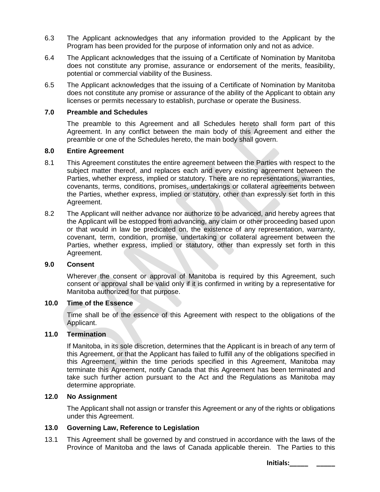- 6.3 The Applicant acknowledges that any information provided to the Applicant by the Program has been provided for the purpose of information only and not as advice.
- 6.4 The Applicant acknowledges that the issuing of a Certificate of Nomination by Manitoba does not constitute any promise, assurance or endorsement of the merits, feasibility, potential or commercial viability of the Business.
- 6.5 The Applicant acknowledges that the issuing of a Certificate of Nomination by Manitoba does not constitute any promise or assurance of the ability of the Applicant to obtain any licenses or permits necessary to establish, purchase or operate the Business.

#### **7.0 Preamble and Schedules**

The preamble to this Agreement and all Schedules hereto shall form part of this Agreement. In any conflict between the main body of this Agreement and either the preamble or one of the Schedules hereto, the main body shall govern.

#### **8.0 Entire Agreement**

- 8.1 This Agreement constitutes the entire agreement between the Parties with respect to the subject matter thereof, and replaces each and every existing agreement between the Parties, whether express, implied or statutory. There are no representations, warranties, covenants, terms, conditions, promises, undertakings or collateral agreements between the Parties, whether express, implied or statutory, other than expressly set forth in this Agreement.
- 8.2 The Applicant will neither advance nor authorize to be advanced, and hereby agrees that the Applicant will be estopped from advancing, any claim or other proceeding based upon or that would in law be predicated on, the existence of any representation, warranty, covenant, term, condition, promise, undertaking or collateral agreement between the Parties, whether express, implied or statutory, other than expressly set forth in this Agreement.

#### **9.0 Consent**

Wherever the consent or approval of Manitoba is required by this Agreement, such consent or approval shall be valid only if it is confirmed in writing by a representative for Manitoba authorized for that purpose.

#### **10.0 Time of the Essence**

Time shall be of the essence of this Agreement with respect to the obligations of the Applicant.

#### **11.0 Termination**

If Manitoba, in its sole discretion, determines that the Applicant is in breach of any term of this Agreement, or that the Applicant has failed to fulfill any of the obligations specified in this Agreement, within the time periods specified in this Agreement, Manitoba may terminate this Agreement, notify Canada that this Agreement has been terminated and take such further action pursuant to the Act and the Regulations as Manitoba may determine appropriate.

#### **12.0 No Assignment**

The Applicant shall not assign or transfer this Agreement or any of the rights or obligations under this Agreement.

#### **13.0 Governing Law, Reference to Legislation**

13.1 This Agreement shall be governed by and construed in accordance with the laws of the Province of Manitoba and the laws of Canada applicable therein. The Parties to this

**Initials:\_\_\_\_\_ \_\_\_\_\_**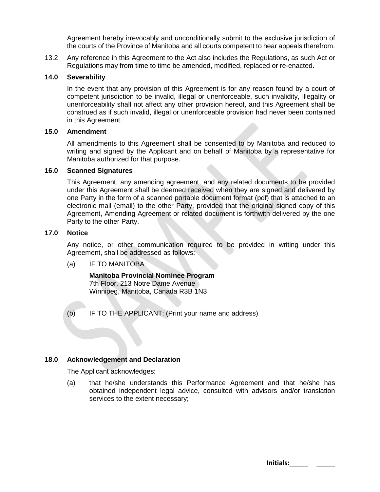Agreement hereby irrevocably and unconditionally submit to the exclusive jurisdiction of the courts of the Province of Manitoba and all courts competent to hear appeals therefrom.

13.2 Any reference in this Agreement to the Act also includes the Regulations, as such Act or Regulations may from time to time be amended, modified, replaced or re-enacted.

#### **14.0 Severability**

In the event that any provision of this Agreement is for any reason found by a court of competent jurisdiction to be invalid, illegal or unenforceable, such invalidity, illegality or unenforceability shall not affect any other provision hereof, and this Agreement shall be construed as if such invalid, illegal or unenforceable provision had never been contained in this Agreement.

#### **15.0 Amendment**

All amendments to this Agreement shall be consented to by Manitoba and reduced to writing and signed by the Applicant and on behalf of Manitoba by a representative for Manitoba authorized for that purpose.

#### **16.0 Scanned Signatures**

This Agreement, any amending agreement, and any related documents to be provided under this Agreement shall be deemed received when they are signed and delivered by one Party in the form of a scanned portable document format (pdf) that is attached to an electronic mail (email) to the other Party, provided that the original signed copy of this Agreement, Amending Agreement or related document is forthwith delivered by the one Party to the other Party.

#### **17.0 Notice**

Any notice, or other communication required to be provided in writing under this Agreement, shall be addressed as follows:

(a) IF TO MANITOBA:

**Manitoba Provincial Nominee Program** 7th Floor, 213 Notre Dame Avenue Winnipeg, Manitoba, Canada R3B 1N3

(b) IF TO THE APPLICANT: (Print your name and address)

#### **18.0 Acknowledgement and Declaration**

The Applicant acknowledges:

(a) that he/she understands this Performance Agreement and that he/she has obtained independent legal advice, consulted with advisors and/or translation services to the extent necessary;

| Initials: |  |
|-----------|--|
|           |  |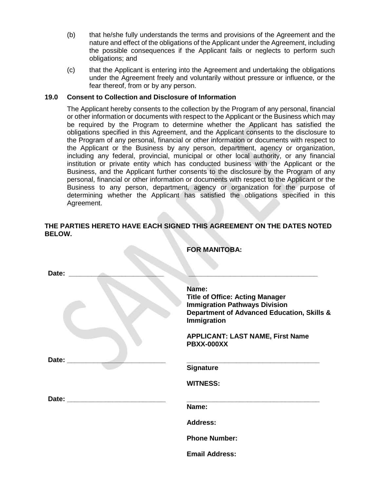- (b) that he/she fully understands the terms and provisions of the Agreement and the nature and effect of the obligations of the Applicant under the Agreement, including the possible consequences if the Applicant fails or neglects to perform such obligations; and
- (c) that the Applicant is entering into the Agreement and undertaking the obligations under the Agreement freely and voluntarily without pressure or influence, or the fear thereof, from or by any person.

#### **19.0 Consent to Collection and Disclosure of Information**

The Applicant hereby consents to the collection by the Program of any personal, financial or other information or documents with respect to the Applicant or the Business which may be required by the Program to determine whether the Applicant has satisfied the obligations specified in this Agreement, and the Applicant consents to the disclosure to the Program of any personal, financial or other information or documents with respect to the Applicant or the Business by any person, department, agency or organization, including any federal, provincial, municipal or other local authority, or any financial institution or private entity which has conducted business with the Applicant or the Business, and the Applicant further consents to the disclosure by the Program of any personal, financial or other information or documents with respect to the Applicant or the Business to any person, department, agency or organization for the purpose of determining whether the Applicant has satisfied the obligations specified in this Agreement.

#### **THE PARTIES HERETO HAVE EACH SIGNED THIS AGREEMENT ON THE DATES NOTED BELOW.**

**FOR MANITOBA:**

| Date: |                                                                                                                                                      |
|-------|------------------------------------------------------------------------------------------------------------------------------------------------------|
|       | Name:<br><b>Title of Office: Acting Manager</b><br><b>Immigration Pathways Division</b><br>Department of Advanced Education, Skills &<br>Immigration |
|       | <b>APPLICANT: LAST NAME, First Name</b><br><b>PBXX-000XX</b>                                                                                         |
| Date: | <b>Signature</b>                                                                                                                                     |
|       | <b>WITNESS:</b>                                                                                                                                      |
| Date: | Name:                                                                                                                                                |
|       | <b>Address:</b>                                                                                                                                      |
|       | <b>Phone Number:</b>                                                                                                                                 |
|       | <b>Email Address:</b>                                                                                                                                |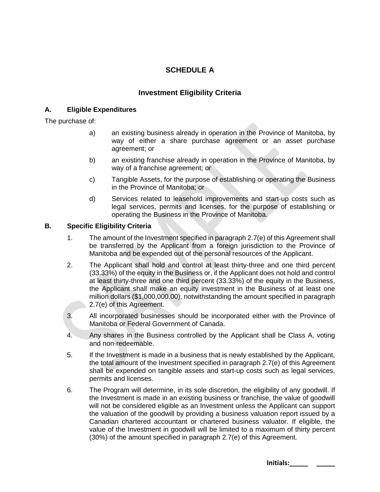## **SCHEDULE A**

### **Investment Eligibility Criteria**

#### **A. Eligible Expenditures**

The purchase of:

- a) an existing business already in operation in the Province of Manitoba, by way of either a share purchase agreement or an asset purchase agreement; or
- b) an existing franchise already in operation in the Province of Manitoba, by way of a franchise agreement; or
- c) Tangible Assets, for the purpose of establishing or operating the Business in the Province of Manitoba; or
- d) Services related to leasehold improvements and start-up costs such as legal services, permits and licenses, for the purpose of establishing or operating the Business in the Province of Manitoba.

#### **B. Specific Eligibility Criteria**

- 1. The amount of the Investment specified in paragraph 2.7(e) of this Agreement shall be transferred by the Applicant from a foreign jurisdiction to the Province of Manitoba and be expended out of the personal resources of the Applicant.
- 2. The Applicant shall hold and control at least thirty-three and one third percent (33.33%) of the equity in the Business or, if the Applicant does not hold and control at least thirty-three and one third percent (33.33%) of the equity in the Business, the Applicant shall make an equity investment in the Business of at least one million dollars (\$1,000,000.00), notwithstanding the amount specified in paragraph 2.7(e) of this Agreement.
- 3. All incorporated businesses should be incorporated either with the Province of Manitoba or Federal Government of Canada.
- 4. Any shares in the Business controlled by the Applicant shall be Class A, voting and non-redeemable.
- 5. If the Investment is made in a business that is newly established by the Applicant, the total amount of the Investment specified in paragraph 2.7(e) of this Agreement shall be expended on tangible assets and start-up costs such as legal services, permits and licenses.
- 6. The Program will determine, in its sole discretion, the eligibility of any goodwill. If the Investment is made in an existing business or franchise, the value of goodwill will not be considered eligible as an Investment unless the Applicant can support the valuation of the goodwill by providing a business valuation report issued by a Canadian chartered accountant or chartered business valuator. If eligible, the value of the Investment in goodwill will be limited to a maximum of thirty percent (30%) of the amount specified in paragraph 2.7(e) of this Agreement.

**Initials:\_\_\_\_\_ \_\_\_\_\_**